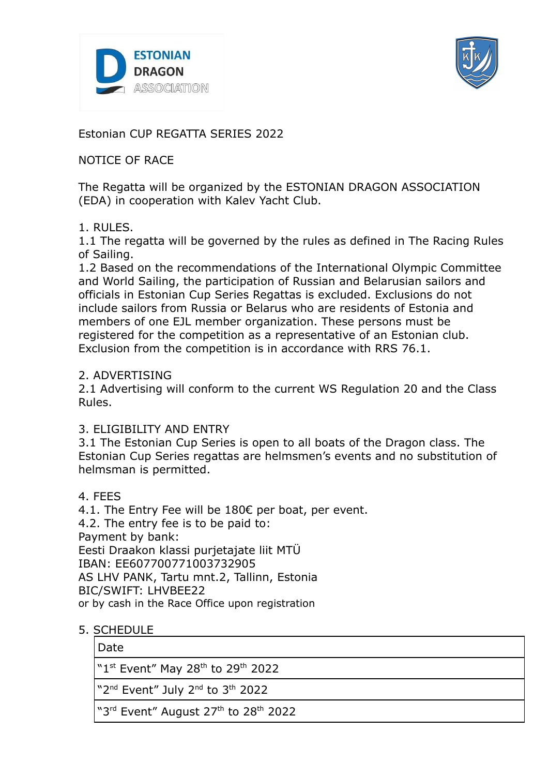



Estonian CUP REGATTA SERIES 2022

## NOTICE OF RACE

The Regatta will be organized by the ESTONIAN DRAGON ASSOCIATION (EDA) in cooperation with Kalev Yacht Club.

### 1. RULES.

1.1 The regatta will be governed by the rules as defined in The Racing Rules of Sailing.

1.2 Based on the recommendations of the International Olympic Committee and World Sailing, the participation of Russian and Belarusian sailors and officials in Estonian Cup Series Regattas is excluded. Exclusions do not include sailors from Russia or Belarus who are residents of Estonia and members of one EJL member organization. These persons must be registered for the competition as a representative of an Estonian club. Exclusion from the competition is in accordance with RRS 76.1.

### 2. ADVERTISING

2.1 Advertising will conform to the current WS Regulation 20 and the Class Rules.

### 3. ELIGIBILITY AND ENTRY

3.1 The Estonian Cup Series is open to all boats of the Dragon class. The Estonian Cup Series regattas are helmsmen's events and no substitution of helmsman is permitted.

4. FEES

4.1. The Entry Fee will be 180€ per boat, per event. 4.2. The entry fee is to be paid to: Payment by bank: Eesti Draakon klassi purjetajate liit MTÜ IBAN: EE607700771003732905 AS LHV PANK, Tartu mnt.2, Tallinn, Estonia BIC/SWIFT: LHVBEE22 or by cash in the Race Office upon registration

## 5. SCHEDULE

### Date

"1st Event" May 28<sup>th</sup> to 29<sup>th</sup> 2022

"2<sup>nd</sup> Event" July 2<sup>nd</sup> to 3<sup>th</sup> 2022

"3<sup>rd</sup> Event" August 27<sup>th</sup> to 28<sup>th</sup> 2022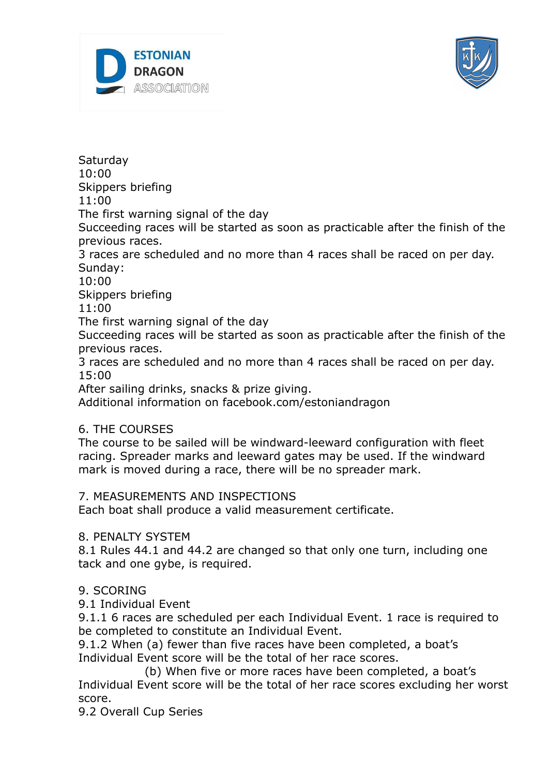



**Saturday** 

10:00

Skippers briefing

11:00

The first warning signal of the day

Succeeding races will be started as soon as practicable after the finish of the previous races.

3 races are scheduled and no more than 4 races shall be raced on per day. Sunday:

10:00

Skippers briefing

11:00

The first warning signal of the day

Succeeding races will be started as soon as practicable after the finish of the previous races.

3 races are scheduled and no more than 4 races shall be raced on per day. 15:00

After sailing drinks, snacks & prize giving.

Additional information on facebook.com/estoniandragon

# 6. THE COURSES

The course to be sailed will be windward-leeward configuration with fleet racing. Spreader marks and leeward gates may be used. If the windward mark is moved during a race, there will be no spreader mark.

## 7. MEASUREMENTS AND INSPECTIONS

Each boat shall produce a valid measurement certificate.

## 8. PENALTY SYSTEM

8.1 Rules 44.1 and 44.2 are changed so that only one turn, including one tack and one gybe, is required.

# 9. SCORING

9.1 Individual Event

9.1.1 6 races are scheduled per each Individual Event. 1 race is required to be completed to constitute an Individual Event.

9.1.2 When (a) fewer than five races have been completed, a boat's Individual Event score will be the total of her race scores.

(b) When five or more races have been completed, a boat's Individual Event score will be the total of her race scores excluding her worst score.

9.2 Overall Cup Series